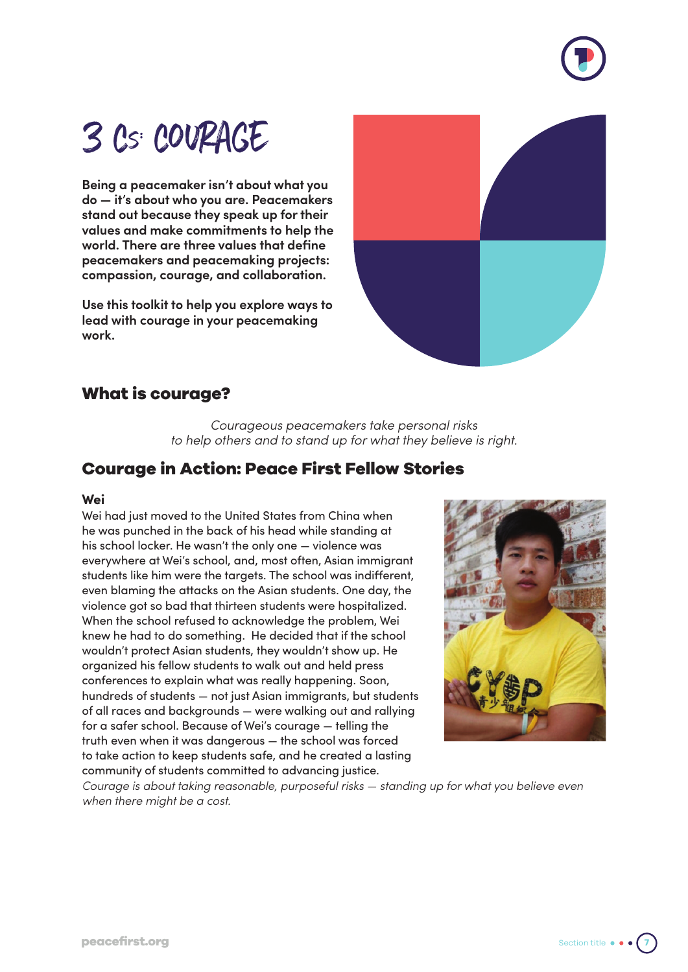

# 3 Cs: COURAGE

**Being a peacemaker isn't about what you do — it's about who you are. Peacemakers stand out because they speak up for their values and make commitments to help the world. There are three values that define peacemakers and peacemaking projects: compassion, courage, and collaboration.**

**Use this toolkit to help you explore ways to lead with courage in your peacemaking work.**



## **What is courage?**

*Courageous peacemakers take personal risks to help others and to stand up for what they believe is right.*

# **Courage in Action: Peace First Fellow Stories**

#### **Wei**

Wei had just moved to the United States from China when he was punched in the back of his head while standing at his school locker. He wasn't the only one — violence was everywhere at Wei's school, and, most often, Asian immigrant students like him were the targets. The school was indifferent, even blaming the attacks on the Asian students. One day, the violence got so bad that thirteen students were hospitalized. When the school refused to acknowledge the problem, Wei knew he had to do something. He decided that if the school wouldn't protect Asian students, they wouldn't show up. He organized his fellow students to walk out and held press conferences to explain what was really happening. Soon, hundreds of students — not just Asian immigrants, but students of all races and backgrounds — were walking out and rallying for a safer school. Because of Wei's courage — telling the truth even when it was dangerous — the school was forced to take action to keep students safe, and he created a lasting community of students committed to advancing justice.



*Courage is about taking reasonable, purposeful risks — standing up for what you believe even when there might be a cost.*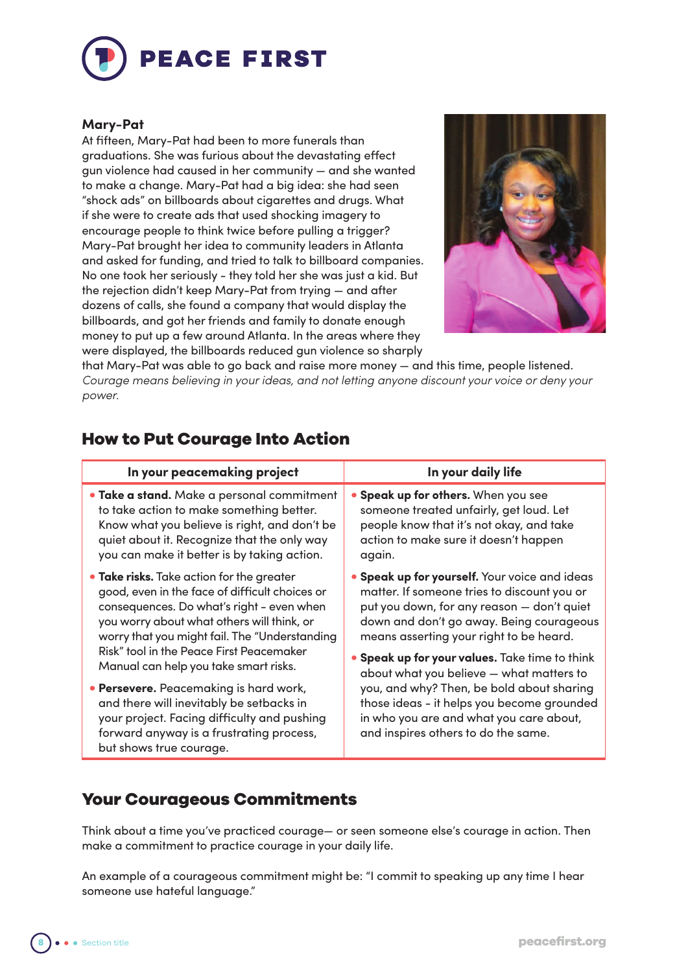

#### **Mary-Pat**

At fifteen, Mary-Pat had been to more funerals than graduations. She was furious about the devastating effect gun violence had caused in her community — and she wanted to make a change. Mary-Pat had a big idea: she had seen "shock ads" on billboards about cigarettes and drugs. What if she were to create ads that used shocking imagery to encourage people to think twice before pulling a trigger? Mary-Pat brought her idea to community leaders in Atlanta and asked for funding, and tried to talk to billboard companies. No one took her seriously - they told her she was just a kid. But the rejection didn't keep Mary-Pat from trying — and after dozens of calls, she found a company that would display the billboards, and got her friends and family to donate enough money to put up a few around Atlanta. In the areas where they were displayed, the billboards reduced gun violence so sharply



that Mary-Pat was able to go back and raise more money — and this time, people listened. *Courage means believing in your ideas, and not letting anyone discount your voice or deny your power.*

| iow to rut ocurage into Action                                                                                                                                                                                                                                                                                               |                                                                                                                                                                                                                                                                                            |  |
|------------------------------------------------------------------------------------------------------------------------------------------------------------------------------------------------------------------------------------------------------------------------------------------------------------------------------|--------------------------------------------------------------------------------------------------------------------------------------------------------------------------------------------------------------------------------------------------------------------------------------------|--|
| In your peacemaking project                                                                                                                                                                                                                                                                                                  | In your daily life                                                                                                                                                                                                                                                                         |  |
| • Take a stand. Make a personal commitment<br>to take action to make something better.<br>Know what you believe is right, and don't be<br>quiet about it. Recognize that the only way<br>you can make it better is by taking action.                                                                                         | • Speak up for others. When you see<br>someone treated unfairly, get loud. Let<br>people know that it's not okay, and take<br>action to make sure it doesn't happen<br>again.                                                                                                              |  |
| • Take risks. Take action for the greater<br>good, even in the face of difficult choices or<br>consequences. Do what's right - even when<br>you worry about what others will think, or<br>worry that you might fail. The "Understanding<br>Risk" tool in the Peace First Peacemaker<br>Manual can help you take smart risks. | <b>• Speak up for yourself.</b> Your voice and ideas<br>matter. If someone tries to discount you or<br>put you down, for any reason - don't quiet<br>down and don't go away. Being courageous<br>means asserting your right to be heard.<br>. Speak up for your values. Take time to think |  |
| · Persevere. Peacemaking is hard work,<br>and there will inevitably be setbacks in<br>your project. Facing difficulty and pushing<br>forward anyway is a frustrating process,<br>but shows true courage.                                                                                                                     | about what you believe - what matters to<br>you, and why? Then, be bold about sharing<br>those ideas - it helps you become grounded<br>in who you are and what you care about,<br>and inspires others to do the same.                                                                      |  |

### **How to Put Courage Into Action**

## **Your Courageous Commitments**

Think about a time you've practiced courage— or seen someone else's courage in action. Then make a commitment to practice courage in your daily life.

An example of a courageous commitment might be: "I commit to speaking up any time I hear someone use hateful language."